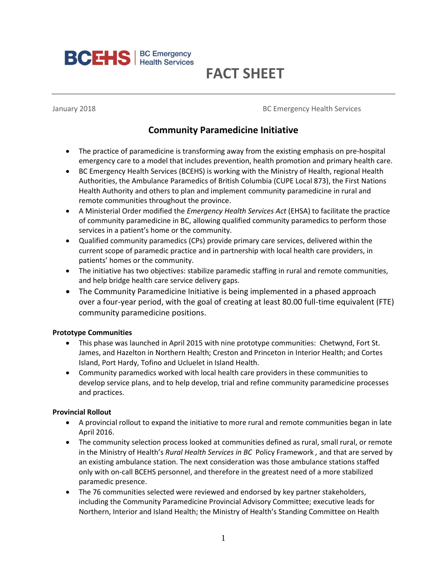

# **FACT SHEET**

January 2018 **BC Emergency Health Services BC Emergency Health Services** 

# **Community Paramedicine Initiative**

- The practice of paramedicine is transforming away from the existing emphasis on pre-hospital emergency care to a model that includes prevention, health promotion and primary health care.
- BC Emergency Health Services (BCEHS) is working with the Ministry of Health, regional Health Authorities, the Ambulance Paramedics of British Columbia (CUPE Local 873), the First Nations Health Authority and others to plan and implement community paramedicine in rural and remote communities throughout the province.
- A Ministerial Order modified the *Emergency Health Services Act* (EHSA) to facilitate the practice of community paramedicine in BC, allowing qualified community paramedics to perform those services in a patient's home or the community.
- Qualified community paramedics (CPs) provide primary care services, delivered within the current scope of paramedic practice and in partnership with local health care providers, in patients' homes or the community.
- The initiative has two objectives: stabilize paramedic staffing in rural and remote communities, and help bridge health care service delivery gaps.
- The Community Paramedicine Initiative is being implemented in a phased approach over a four-year period, with the goal of creating at least 80.00 full-time equivalent (FTE) community paramedicine positions.

#### **Prototype Communities**

- This phase was launched in April 2015 with nine prototype communities: Chetwynd, Fort St. James, and Hazelton in Northern Health; Creston and Princeton in Interior Health; and Cortes Island, Port Hardy, Tofino and Ucluelet in Island Health.
- Community paramedics worked with local health care providers in these communities to develop service plans, and to help develop, trial and refine community paramedicine processes and practices.

## **Provincial Rollout**

- A provincial rollout to expand the initiative to more rural and remote communities began in late April 2016.
- The community selection process looked at communities defined as rural, small rural, or remote in the Ministry of Health's *Rural Health Services in BC* Policy Framework *,* and that are served by an existing ambulance station. The next consideration was those ambulance stations staffed only with on-call BCEHS personnel, and therefore in the greatest need of a more stabilized paramedic presence.
- The 76 communities selected were reviewed and endorsed by key partner stakeholders, including the Community Paramedicine Provincial Advisory Committee; executive leads for Northern, Interior and Island Health; the Ministry of Health's Standing Committee on Health